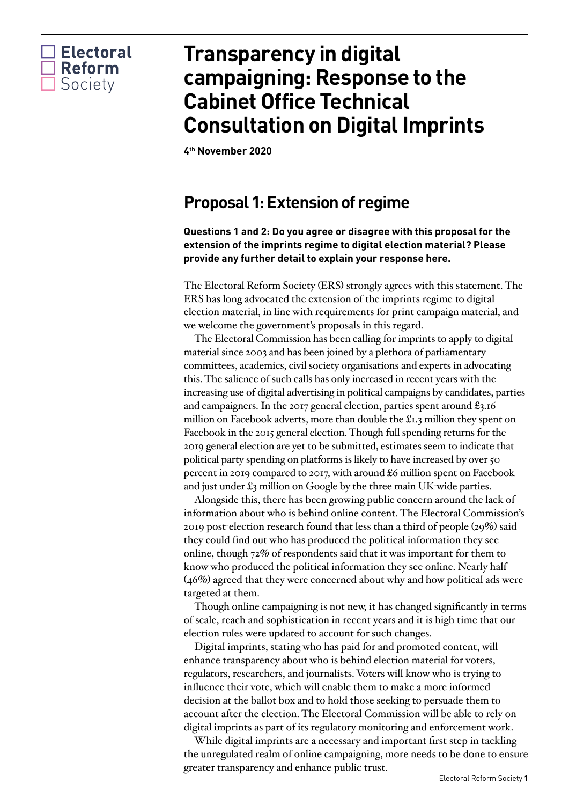

# **Transparency in digital campaigning: Response to the Cabinet Office Technical Consultation on Digital Imprints**

**4th November 2020**

### **Proposal 1: Extension of regime**

**Questions 1 and 2: Do you agree or disagree with this proposal for the extension of the imprints regime to digital election material? Please provide any further detail to explain your response here.**

The Electoral Reform Society (ERS) strongly agrees with this statement. The ERS has long advocated the extension of the imprints regime to digital election material, in line with requirements for print campaign material, and we welcome the government's proposals in this regard.

The Electoral Commission has been calling for imprints to apply to digital material since 2003 and has been joined by a plethora of parliamentary committees, academics, civil society organisations and experts in advocating this. The salience of such calls has only increased in recent years with the increasing use of digital advertising in political campaigns by candidates, parties and campaigners. In the 2017 general election, parties spent around £3.16 million on Facebook adverts, more than double the £1.3 million they spent on Facebook in the 2015 general election. Though full spending returns for the 2019 general election are yet to be submitted, estimates seem to indicate that political party spending on platforms is likely to have increased by over 50 percent in 2019 compared to 2017, with around £6 million spent on Facebook and just under £3 million on Google by the three main UK-wide parties.

Alongside this, there has been growing public concern around the lack of information about who is behind online content. The Electoral Commission's 2019 post-election research found that less than a third of people (29%) said they could find out who has produced the political information they see online, though 72% of respondents said that it was important for them to know who produced the political information they see online. Nearly half (46%) agreed that they were concerned about why and how political ads were targeted at them.

Though online campaigning is not new, it has changed significantly in terms of scale, reach and sophistication in recent years and it is high time that our election rules were updated to account for such changes.

Digital imprints, stating who has paid for and promoted content, will enhance transparency about who is behind election material for voters, regulators, researchers, and journalists. Voters will know who is trying to influence their vote, which will enable them to make a more informed decision at the ballot box and to hold those seeking to persuade them to account after the election. The Electoral Commission will be able to rely on digital imprints as part of its regulatory monitoring and enforcement work.

While digital imprints are a necessary and important first step in tackling the unregulated realm of online campaigning, more needs to be done to ensure greater transparency and enhance public trust.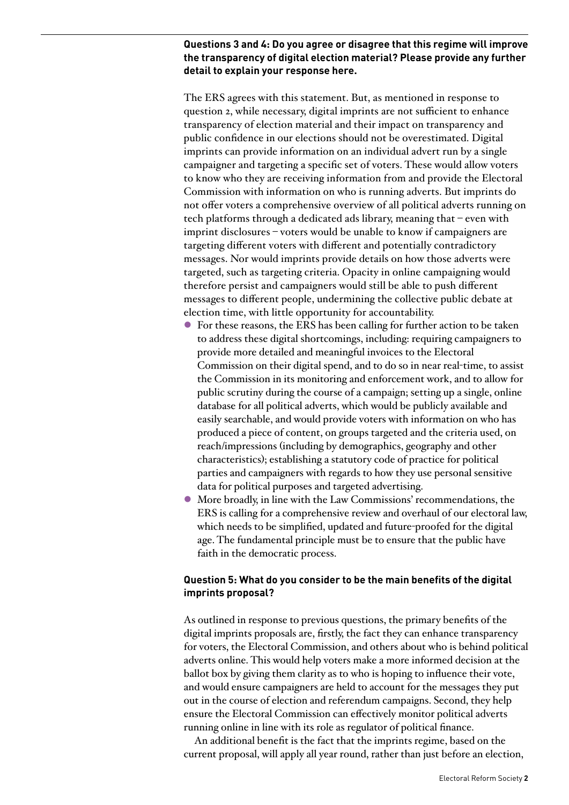#### **Questions 3 and 4: Do you agree or disagree that this regime will improve the transparency of digital election material? Please provide any further detail to explain your response here.**

The ERS agrees with this statement. But, as mentioned in response to question 2, while necessary, digital imprints are not sufficient to enhance transparency of election material and their impact on transparency and public confidence in our elections should not be overestimated. Digital imprints can provide information on an individual advert run by a single campaigner and targeting a specific set of voters. These would allow voters to know who they are receiving information from and provide the Electoral Commission with information on who is running adverts. But imprints do not offer voters a comprehensive overview of all political adverts running on tech platforms through a dedicated ads library, meaning that – even with imprint disclosures – voters would be unable to know if campaigners are targeting different voters with different and potentially contradictory messages. Nor would imprints provide details on how those adverts were targeted, such as targeting criteria. Opacity in online campaigning would therefore persist and campaigners would still be able to push different messages to different people, undermining the collective public debate at election time, with little opportunity for accountability.

- l For these reasons, the ERS has been calling for further action to be taken to address these digital shortcomings, including: requiring campaigners to provide more detailed and meaningful invoices to the Electoral Commission on their digital spend, and to do so in near real-time, to assist the Commission in its monitoring and enforcement work, and to allow for public scrutiny during the course of a campaign; setting up a single, online database for all political adverts, which would be publicly available and easily searchable, and would provide voters with information on who has produced a piece of content, on groups targeted and the criteria used, on reach/impressions (including by demographics, geography and other characteristics); establishing a statutory code of practice for political parties and campaigners with regards to how they use personal sensitive data for political purposes and targeted advertising.
- l More broadly, in line with the Law Commissions' recommendations, the ERS is calling for a comprehensive review and overhaul of our electoral law, which needs to be simplified, updated and future-proofed for the digital age. The fundamental principle must be to ensure that the public have faith in the democratic process.

#### **Question 5: What do you consider to be the main benefits of the digital imprints proposal?**

As outlined in response to previous questions, the primary benefits of the digital imprints proposals are, firstly, the fact they can enhance transparency for voters, the Electoral Commission, and others about who is behind political adverts online. This would help voters make a more informed decision at the ballot box by giving them clarity as to who is hoping to influence their vote, and would ensure campaigners are held to account for the messages they put out in the course of election and referendum campaigns. Second, they help ensure the Electoral Commission can effectively monitor political adverts running online in line with its role as regulator of political finance.

An additional benefit is the fact that the imprints regime, based on the current proposal, will apply all year round, rather than just before an election,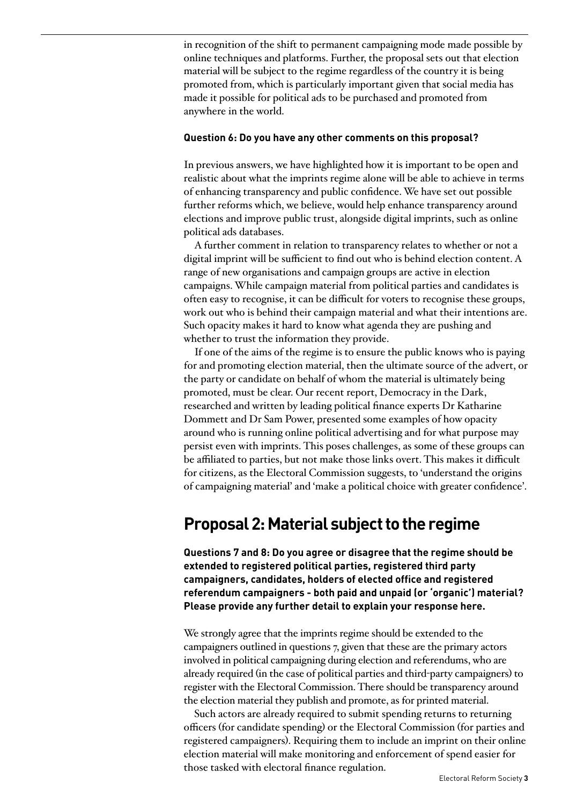in recognition of the shift to permanent campaigning mode made possible by online techniques and platforms. Further, the proposal sets out that election material will be subject to the regime regardless of the country it is being promoted from, which is particularly important given that social media has made it possible for political ads to be purchased and promoted from anywhere in the world.

#### **Question 6: Do you have any other comments on this proposal?**

In previous answers, we have highlighted how it is important to be open and realistic about what the imprints regime alone will be able to achieve in terms of enhancing transparency and public confidence. We have set out possible further reforms which, we believe, would help enhance transparency around elections and improve public trust, alongside digital imprints, such as online political ads databases.

A further comment in relation to transparency relates to whether or not a digital imprint will be sufficient to find out who is behind election content. A range of new organisations and campaign groups are active in election campaigns. While campaign material from political parties and candidates is often easy to recognise, it can be difficult for voters to recognise these groups, work out who is behind their campaign material and what their intentions are. Such opacity makes it hard to know what agenda they are pushing and whether to trust the information they provide.

If one of the aims of the regime is to ensure the public knows who is paying for and promoting election material, then the ultimate source of the advert, or the party or candidate on behalf of whom the material is ultimately being promoted, must be clear. Our recent report, Democracy in the Dark, researched and written by leading political finance experts Dr Katharine Dommett and Dr Sam Power, presented some examples of how opacity around who is running online political advertising and for what purpose may persist even with imprints. This poses challenges, as some of these groups can be affiliated to parties, but not make those links overt. This makes it difficult for citizens, as the Electoral Commission suggests, to 'understand the origins of campaigning material' and 'make a political choice with greater confidence'.

### **Proposal 2: Material subject to the regime**

**Questions 7 and 8: Do you agree or disagree that the regime should be extended to registered political parties, registered third party campaigners, candidates, holders of elected office and registered referendum campaigners - both paid and unpaid (or 'organic') material? Please provide any further detail to explain your response here.** 

We strongly agree that the imprints regime should be extended to the campaigners outlined in questions 7, given that these are the primary actors involved in political campaigning during election and referendums, who are already required (in the case of political parties and third-party campaigners) to register with the Electoral Commission. There should be transparency around the election material they publish and promote, as for printed material.

Such actors are already required to submit spending returns to returning officers (for candidate spending) or the Electoral Commission (for parties and registered campaigners). Requiring them to include an imprint on their online election material will make monitoring and enforcement of spend easier for those tasked with electoral finance regulation.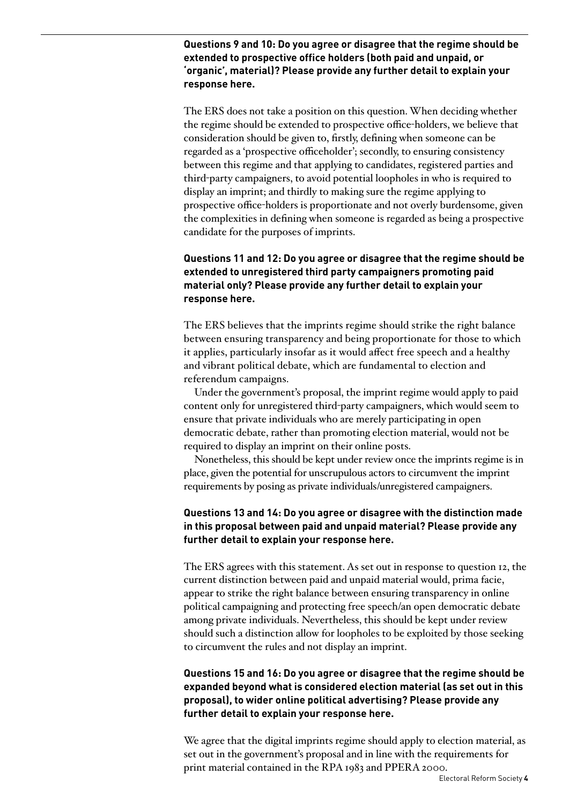**Questions 9 and 10: Do you agree or disagree that the regime should be extended to prospective office holders (both paid and unpaid, or 'organic', material)? Please provide any further detail to explain your response here.**

The ERS does not take a position on this question. When deciding whether the regime should be extended to prospective office-holders, we believe that consideration should be given to, firstly, defining when someone can be regarded as a 'prospective officeholder'; secondly, to ensuring consistency between this regime and that applying to candidates, registered parties and third-party campaigners, to avoid potential loopholes in who is required to display an imprint; and thirdly to making sure the regime applying to prospective office-holders is proportionate and not overly burdensome, given the complexities in defining when someone is regarded as being a prospective candidate for the purposes of imprints.

#### **Questions 11 and 12: Do you agree or disagree that the regime should be extended to unregistered third party campaigners promoting paid material only? Please provide any further detail to explain your response here.**

The ERS believes that the imprints regime should strike the right balance between ensuring transparency and being proportionate for those to which it applies, particularly insofar as it would affect free speech and a healthy and vibrant political debate, which are fundamental to election and referendum campaigns.

Under the government's proposal, the imprint regime would apply to paid content only for unregistered third-party campaigners, which would seem to ensure that private individuals who are merely participating in open democratic debate, rather than promoting election material, would not be required to display an imprint on their online posts.

Nonetheless, this should be kept under review once the imprints regime is in place, given the potential for unscrupulous actors to circumvent the imprint requirements by posing as private individuals/unregistered campaigners.

#### **Questions 13 and 14: Do you agree or disagree with the distinction made in this proposal between paid and unpaid material? Please provide any further detail to explain your response here.**

The ERS agrees with this statement. As set out in response to question 12, the current distinction between paid and unpaid material would, prima facie, appear to strike the right balance between ensuring transparency in online political campaigning and protecting free speech/an open democratic debate among private individuals. Nevertheless, this should be kept under review should such a distinction allow for loopholes to be exploited by those seeking to circumvent the rules and not display an imprint.

#### **Questions 15 and 16: Do you agree or disagree that the regime should be expanded beyond what is considered election material (as set out in this proposal), to wider online political advertising? Please provide any further detail to explain your response here.**

We agree that the digital imprints regime should apply to election material, as set out in the government's proposal and in line with the requirements for print material contained in the RPA 1983 and PPERA 2000.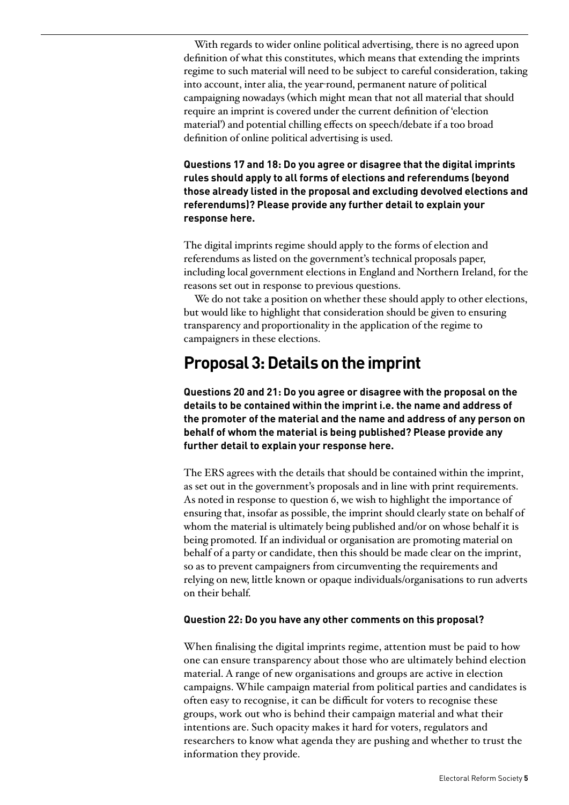With regards to wider online political advertising, there is no agreed upon definition of what this constitutes, which means that extending the imprints regime to such material will need to be subject to careful consideration, taking into account, inter alia, the year-round, permanent nature of political campaigning nowadays (which might mean that not all material that should require an imprint is covered under the current definition of 'election material') and potential chilling effects on speech/debate if a too broad definition of online political advertising is used.

**Questions 17 and 18: Do you agree or disagree that the digital imprints rules should apply to all forms of elections and referendums (beyond those already listed in the proposal and excluding devolved elections and referendums)? Please provide any further detail to explain your response here.**

The digital imprints regime should apply to the forms of election and referendums as listed on the government's technical proposals paper, including local government elections in England and Northern Ireland, for the reasons set out in response to previous questions.

We do not take a position on whether these should apply to other elections, but would like to highlight that consideration should be given to ensuring transparency and proportionality in the application of the regime to campaigners in these elections.

### **Proposal 3: Details on the imprint**

**Questions 20 and 21: Do you agree or disagree with the proposal on the details to be contained within the imprint i.e. the name and address of the promoter of the material and the name and address of any person on behalf of whom the material is being published? Please provide any further detail to explain your response here.**

The ERS agrees with the details that should be contained within the imprint, as set out in the government's proposals and in line with print requirements. As noted in response to question 6, we wish to highlight the importance of ensuring that, insofar as possible, the imprint should clearly state on behalf of whom the material is ultimately being published and/or on whose behalf it is being promoted. If an individual or organisation are promoting material on behalf of a party or candidate, then this should be made clear on the imprint, so as to prevent campaigners from circumventing the requirements and relying on new, little known or opaque individuals/organisations to run adverts on their behalf.

#### **Question 22: Do you have any other comments on this proposal?**

When finalising the digital imprints regime, attention must be paid to how one can ensure transparency about those who are ultimately behind election material. A range of new organisations and groups are active in election campaigns. While campaign material from political parties and candidates is often easy to recognise, it can be difficult for voters to recognise these groups, work out who is behind their campaign material and what their intentions are. Such opacity makes it hard for voters, regulators and researchers to know what agenda they are pushing and whether to trust the information they provide.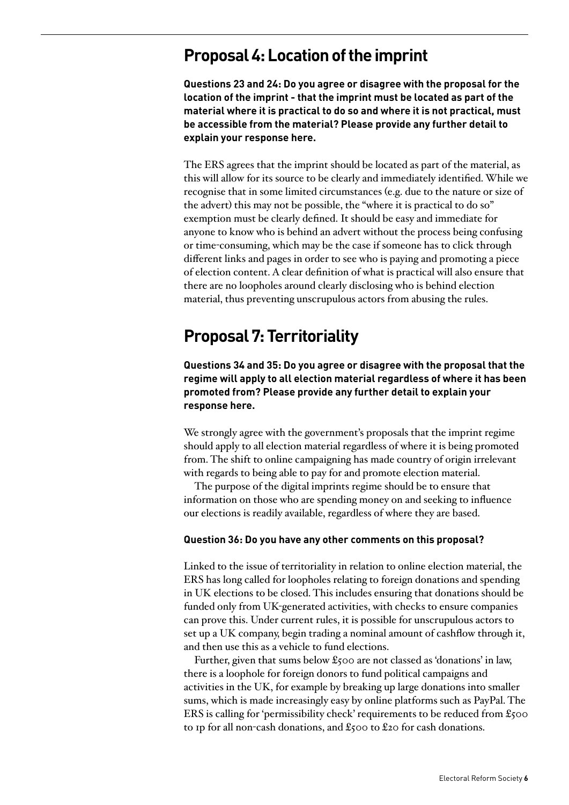### **Proposal 4: Location of the imprint**

**Questions 23 and 24: Do you agree or disagree with the proposal for the location of the imprint - that the imprint must be located as part of the material where it is practical to do so and where it is not practical, must be accessible from the material? Please provide any further detail to explain your response here.**

The ERS agrees that the imprint should be located as part of the material, as this will allow for its source to be clearly and immediately identified. While we recognise that in some limited circumstances (e.g. due to the nature or size of the advert) this may not be possible, the "where it is practical to do so" exemption must be clearly defined. It should be easy and immediate for anyone to know who is behind an advert without the process being confusing or time-consuming, which may be the case if someone has to click through different links and pages in order to see who is paying and promoting a piece of election content. A clear definition of what is practical will also ensure that there are no loopholes around clearly disclosing who is behind election material, thus preventing unscrupulous actors from abusing the rules.

## **Proposal 7: Territoriality**

**Questions 34 and 35: Do you agree or disagree with the proposal that the regime will apply to all election material regardless of where it has been promoted from? Please provide any further detail to explain your response here.**

We strongly agree with the government's proposals that the imprint regime should apply to all election material regardless of where it is being promoted from. The shift to online campaigning has made country of origin irrelevant with regards to being able to pay for and promote election material.

The purpose of the digital imprints regime should be to ensure that information on those who are spending money on and seeking to influence our elections is readily available, regardless of where they are based.

#### **Question 36: Do you have any other comments on this proposal?**

Linked to the issue of territoriality in relation to online election material, the ERS has long called for loopholes relating to foreign donations and spending in UK elections to be closed. This includes ensuring that donations should be funded only from UK-generated activities, with checks to ensure companies can prove this. Under current rules, it is possible for unscrupulous actors to set up a UK company, begin trading a nominal amount of cashflow through it, and then use this as a vehicle to fund elections.

Further, given that sums below  $\pounds$ 500 are not classed as 'donations' in law, there is a loophole for foreign donors to fund political campaigns and activities in the UK, for example by breaking up large donations into smaller sums, which is made increasingly easy by online platforms such as PayPal. The ERS is calling for 'permissibility check' requirements to be reduced from £500 to 1p for all non-cash donations, and  $\pounds$ 500 to  $\pounds$ 20 for cash donations.